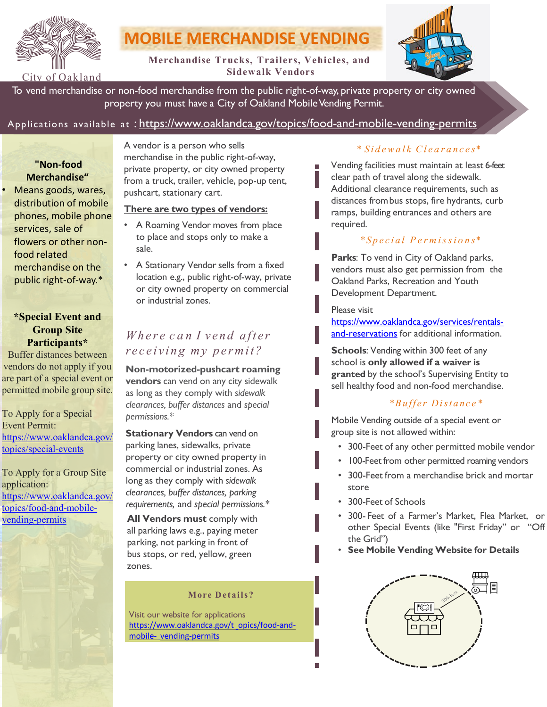

# **MOBILE MERCHANDISE VENDING**

**Merchandise Trucks, Trailers, Vehicles, and Sidewalk Vendors**



To vend merchandise or non-food merchandise from the public right-of-way, private property or city owned property you must have a City of Oakland Mobile Vending Permit.

# Applications available at : <https://www.oaklandca.gov/topics/food-and-mobile-vending-permits>

# **"Non-food Merchandise"**

• Means goods, wares, distribution of mobile phones, mobile phone services, sale of flowers or other nonfood related merchandise on the public right-of-way.\*

### **\*Special Event and Group Site Participants\***

Buffer distances between vendors do not apply if you are part of a special event or permitted mobile group site.

To Apply for a Special Event Permit: [https://www.oaklandca.gov/](https://www.oaklandca.gov/topics/special-events) topics/special-events

To Apply for a Group Site application: [https://www.oaklandca.gov/](https://www.oaklandca.gov/topics/food-and-mobile-vending-permits) topics/food-and-mobilevending-permits

A vendor is a person who sells merchandise in the public right-of-way, private property, or city owned property from a truck, trailer, vehicle, pop-up tent, pushcart, stationary cart.

### **There are two types of vendors:**

- A Roaming Vendor moves from place to place and stops only to make a sale.
- A Stationary Vendor sells from a fixed location e.g., public right-of-way, private or city owned property on commercial or industrial zones.

# *Wh e r e c a n I v en d after receiving my permit?*

**Non-motorized-pushcart roaming vendors** can vend on any city sidewalk as long as they comply with *sidewalk clearances, buffer distances* and *special permissions.\**

**Stationary Vendors** can vend on parking lanes, sidewalks, private property or city owned property in commercial or industrial zones. As long as they comply with *sidewalk clearances, buffer distances, parking requirements,* and *special permissions.\**

**All Vendors must** comply with all parking laws e.g., paying meter parking, not parking in front of bus stops, or red, yellow, green zones.

#### **More Details?**

Visit our website for applications [https://www.oaklandca.gov/t opics/food-and](https://www.oaklandca.gov/topics/food-and-mobile-vending-permits)mobile- vending-permits

## \* *S i d ewa l k Cl e a r a n c e s\**

Vending facilities must maintain at least 6-feet clear path of travel along the sidewalk. Additional clearance requirements, such as distances frombus stops, fire hydrants, curb ramps, building entrances and others are required.

## *\* Special P e r m is si o n s\**

**Parks**: To vend in City of Oakland parks, vendors must also get permission from the Oakland Parks, Recreation and Youth Development Department.

#### Please visit

[https://www.oaklandca.gov/services/rentals](https://www.oaklandca.gov/services/rentals-and-reservations)and-reservations for additional information.

**Schools**: Vending within 300 feet of any school is **only allowed if a waiver is granted** by the school's Supervising Entity to sell healthy food and non-food merchandise.

## *\*Buffer Distance\**

Mobile Vending outside of a special event or group site is not allowed within:

- 300-Feet of any other permitted mobile vendor
- 100-Feet from other permitted roaming vendors
- 300-Feet from a merchandise brick and mortar store
- 300-Feet of Schools
- 300- Feet of a Farmer's Market, Flea Market, or other Special Events (like "First Friday" or "Off the Grid")
- **See Mobile Vending Website for Details**

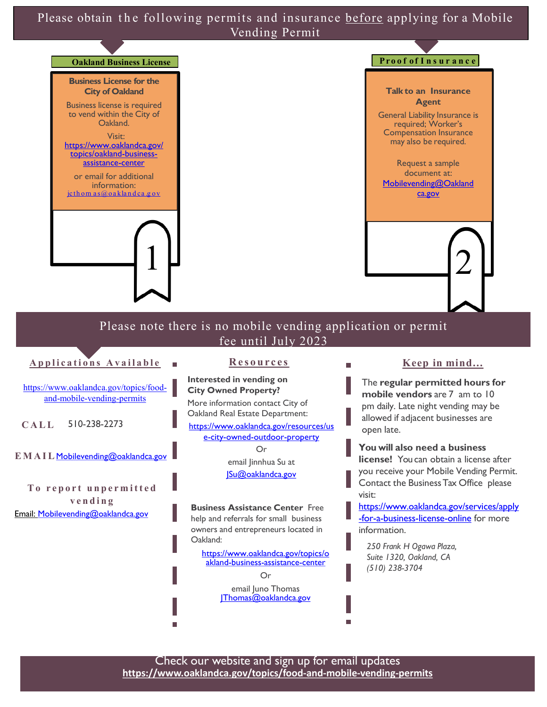Please obtain the following permits and insurance before applying for a Mobile Vending Permit



**Applications Available** 

**Res o urces** 

**CALL** 510-238-2273 **Interested in vending on City Owned Property?** More information contact City of [https://www.oaklandca.gov/topics/food](https://www.oaklandca.gov/topics/food-and-mobile-vending-permits)and-mobile-vending-permits

**EMAIL** [Mobilevending@oaklandca.gov](mailto:Mobilevending@oaklandca.gov)

**To report unpermitted vending** [Email: Mobilevending@oaklandca.gov](mailto:Mobilevending@oaklandca.gov)

Oakland Real Estate Department: [https://www.oaklandca.gov/resources/us](https://www.oaklandca.gov/resources/use-city-owned-outdoor-property) e-city-owned-outdoor-property Or email Jinnhua Su at [JSu@oaklandca.gov](mailto:JSu@oaklandca.gov)

**Business Assistance Center** Free help and referrals for small business owners and entrepreneurs located in Oakland:

[https://www.oaklandca.gov/topics/o](https://www.oaklandca.gov/topics/oakland-business-assistance-center) akland-business-assistance-center

Or

email Juno Thomas IThomas@oaklandca.gov

## **Keep in mind...**

The **regular permitted hours for mobile vendors** are 7 am to 10 pm daily. Late night vending may be allowed if adjacent businesses are open late.

П

**You will also need a business license!** You can obtain a license after you receive your Mobile Vending Permit. Contact the BusinessTax Office please visit:

[https://www.oaklandca.gov/services/apply](https://www.oaklandca.gov/services/apply-for-a-business-license-online) -for-a-business-license-online for more information.

*250 Frank H Ogawa Plaza, Suite 1320, Oakland, CA (510) 238-3704*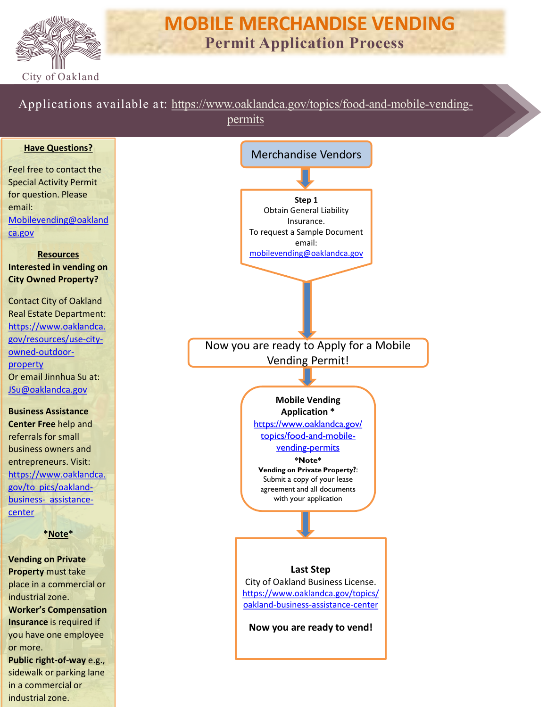

# **MOBILE MERCHANDISE VENDING Permit Application Process**

Applications available a t: [https://www.oaklandca.gov/topics/food-and-mobile-vending-](https://www.oaklandca.gov/topics/food-and-mobile-vending-permits)

permits